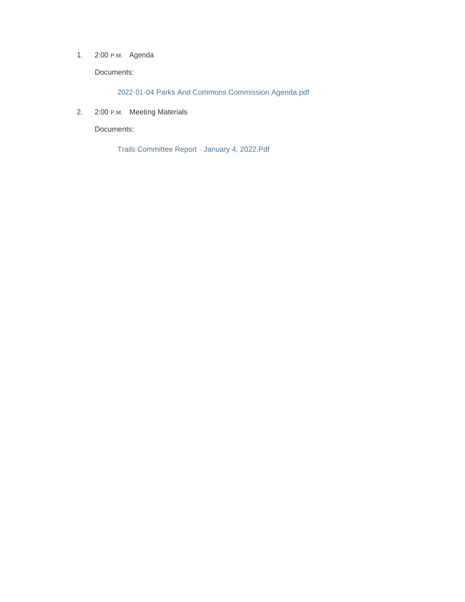1. 2:00 P.M. Agenda

Documents:

2022-01-04 Parks And Commons Commission Agenda.pdf

2. 2:00 P.M. Meeting Materials

Documents:

Trails Committee Report - January 4, 2022.Pdf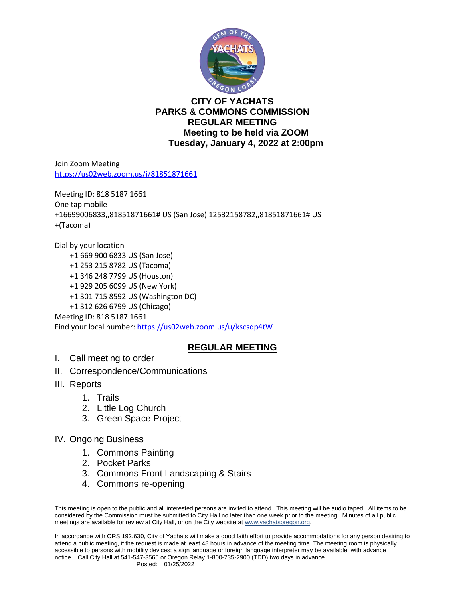

### **CITY OF YACHATS PARKS & COMMONS COMMISSION REGULAR MEETING Meeting to be held via ZOOM Tuesday, January 4, 2022 at 2:00pm**

Join Zoom Meeting <https://us02web.zoom.us/j/81851871661>

Meeting ID: 818 5187 1661 One tap mobile +16699006833,,81851871661# US (San Jose) 12532158782,,81851871661# US +(Tacoma)

Dial by your location +1 669 900 6833 US (San Jose) +1 253 215 8782 US (Tacoma) +1 346 248 7799 US (Houston) +1 929 205 6099 US (New York) +1 301 715 8592 US (Washington DC) +1 312 626 6799 US (Chicago) Meeting ID: 818 5187 1661 Find your local number[: https://us02web.zoom.us/u/kscsdp4tW](https://us02web.zoom.us/u/kscsdp4tW)

# **REGULAR MEETING**

- I. Call meeting to order
- II. Correspondence/Communications
- III. Reports
	- 1. Trails
	- 2. Little Log Church
	- 3. Green Space Project
- IV. Ongoing Business
	- 1. Commons Painting
	- 2. Pocket Parks
	- 3. Commons Front Landscaping & Stairs
	- 4. Commons re-opening

This meeting is open to the public and all interested persons are invited to attend. This meeting will be audio taped. All items to be considered by the Commission must be submitted to City Hall no later than one week prior to the meeting. Minutes of all public meetings are available for review at City Hall, or on the City website a[t www.yachatsoregon.or](http://www.yachatsoregon.o/)g.

In accordance with ORS 192.630, City of Yachats will make a good faith effort to provide accommodations for any person desiring to attend a public meeting, if the request is made at least 48 hours in advance of the meeting time. The meeting room is physically accessible to persons with mobility devices; a sign language or foreign language interpreter may be available, with advance notice. Call City Hall at 541-547-3565 or Oregon Relay 1-800-735-2900 (TDD) two days in advance.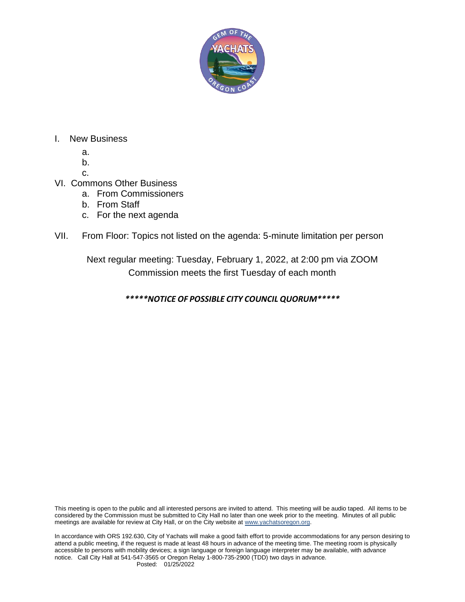

### I. New Business

- a.
- b.
- c.

# VI. Commons Other Business

- a. From Commissioners
- b. From Staff
- c. For the next agenda

## VII. From Floor: Topics not listed on the agenda: 5-minute limitation per person

Next regular meeting: Tuesday, February 1, 2022, at 2:00 pm via ZOOM Commission meets the first Tuesday of each month

*\*\*\*\*\*NOTICE OF POSSIBLE CITY COUNCIL QUORUM\*\*\*\*\**

This meeting is open to the public and all interested persons are invited to attend. This meeting will be audio taped. All items to be considered by the Commission must be submitted to City Hall no later than one week prior to the meeting. Minutes of all public meetings are available for review at City Hall, or on the City website a[t www.yachatsoregon.or](http://www.yachatsoregon.o/)g.

In accordance with ORS 192.630, City of Yachats will make a good faith effort to provide accommodations for any person desiring to attend a public meeting, if the request is made at least 48 hours in advance of the meeting time. The meeting room is physically accessible to persons with mobility devices; a sign language or foreign language interpreter may be available, with advance notice. Call City Hall at 541-547-3565 or Oregon Relay 1-800-735-2900 (TDD) two days in advance.